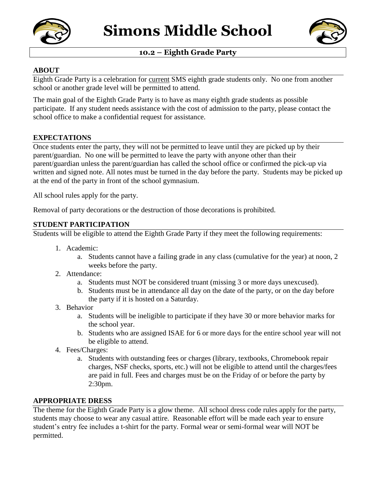



# **10.2 – Eighth Grade Party**

# **ABOUT**

Eighth Grade Party is a celebration for current SMS eighth grade students only. No one from another school or another grade level will be permitted to attend.

The main goal of the Eighth Grade Party is to have as many eighth grade students as possible participate. If any student needs assistance with the cost of admission to the party, please contact the school office to make a confidential request for assistance.

# **EXPECTATIONS**

Once students enter the party, they will not be permitted to leave until they are picked up by their parent/guardian. No one will be permitted to leave the party with anyone other than their parent/guardian unless the parent/guardian has called the school office or confirmed the pick-up via written and signed note. All notes must be turned in the day before the party. Students may be picked up at the end of the party in front of the school gymnasium.

All school rules apply for the party.

Removal of party decorations or the destruction of those decorations is prohibited.

# **STUDENT PARTICIPATION**

Students will be eligible to attend the Eighth Grade Party if they meet the following requirements:

- 1. Academic:
	- a. Students cannot have a failing grade in any class (cumulative for the year) at noon, 2 weeks before the party.
- 2. Attendance:
	- a. Students must NOT be considered truant (missing 3 or more days unexcused).
	- b. Students must be in attendance all day on the date of the party, or on the day before the party if it is hosted on a Saturday.
- 3. Behavior
	- a. Students will be ineligible to participate if they have 30 or more behavior marks for the school year.
	- b. Students who are assigned ISAE for 6 or more days for the entire school year will not be eligible to attend.
- 4. Fees/Charges:
	- a. Students with outstanding fees or charges (library, textbooks, Chromebook repair charges, NSF checks, sports, etc.) will not be eligible to attend until the charges/fees are paid in full. Fees and charges must be on the Friday of or before the party by 2:30pm.

### **APPROPRIATE DRESS**

The theme for the Eighth Grade Party is a glow theme. All school dress code rules apply for the party, students may choose to wear any casual attire. Reasonable effort will be made each year to ensure student's entry fee includes a t-shirt for the party. Formal wear or semi-formal wear will NOT be permitted.